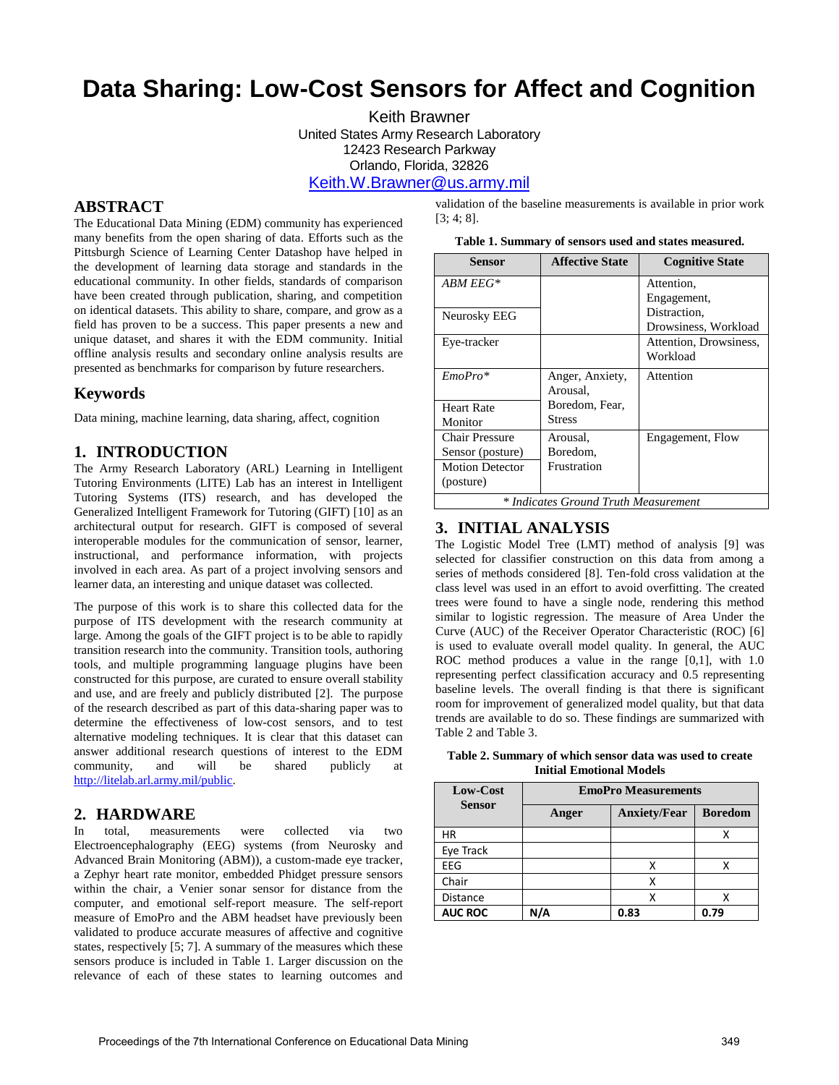# **Data Sharing: Low-Cost Sensors for Affect and Cognition**

Keith Brawner United States Army Research Laboratory 12423 Research Parkway Orlando, Florida, 32826 [Keith.W.Brawner@us.army.mil](mailto:Keith.W.Brawner@us.army.mil) 

## **ABSTRACT**

The Educational Data Mining (EDM) community has experienced many benefits from the open sharing of data. Efforts such as the Pittsburgh Science of Learning Center Datashop have helped in the development of learning data storage and standards in the educational community. In other fields, standards of comparison have been created through publication, sharing, and competition on identical datasets. This ability to share, compare, and grow as a field has proven to be a success. This paper presents a new and unique dataset, and shares it with the EDM community. Initial offline analysis results and secondary online analysis results are presented as benchmarks for comparison by future researchers.

## **Keywords**

Data mining, machine learning, data sharing, affect, cognition

#### **1. INTRODUCTION**

The Army Research Laboratory (ARL) Learning in Intelligent Tutoring Environments (LITE) Lab has an interest in Intelligent Tutoring Systems (ITS) research, and has developed the Generalized Intelligent Framework for Tutoring (GIFT) [\[10\]](#page-1-0) as an architectural output for research. GIFT is composed of several interoperable modules for the communication of sensor, learner, instructional, and performance information, with projects involved in each area. As part of a project involving sensors and learner data, an interesting and unique dataset was collected.

The purpose of this work is to share this collected data for the purpose of ITS development with the research community at large. Among the goals of the GIFT project is to be able to rapidly transition research into the community. Transition tools, authoring tools, and multiple programming language plugins have been constructed for this purpose, are curated to ensure overall stability and use, and are freely and publicly distributed [\[2\]](#page-1-1). The purpose of the research described as part of this data-sharing paper was to determine the effectiveness of low-cost sensors, and to test alternative modeling techniques. It is clear that this dataset can answer additional research questions of interest to the EDM community, and will be shared publicly [http://litelab.arl.army.mil/public.](http://litelab.arl.army.mil/public)

## **2. HARDWARE**

In total, measurements were collected via two Electroencephalography (EEG) systems (from Neurosky and Advanced Brain Monitoring (ABM)), a custom-made eye tracker, a Zephyr heart rate monitor, embedded Phidget pressure sensors within the chair, a Venier sonar sensor for distance from the computer, and emotional self-report measure. The self-report measure of EmoPro and the ABM headset have previously been validated to produce accurate measures of affective and cognitive states, respectively [\[5;](#page-1-2) [7\]](#page-1-3). A summary of the measures which these sensors produce is included in [Table 1.](#page-0-0) Larger discussion on the relevance of each of these states to learning outcomes and

validation of the baseline measurements is available in prior work [\[3;](#page-1-4) [4;](#page-1-5) [8\]](#page-1-6).

**Table 1. Summary of sensors used and states measured.** 

<span id="page-0-0"></span>

| Sensor                               | <b>Affective State</b> | <b>Cognitive State</b> |  |  |  |
|--------------------------------------|------------------------|------------------------|--|--|--|
| $ABMEEG*$                            |                        | Attention,             |  |  |  |
|                                      |                        | Engagement,            |  |  |  |
| Neurosky EEG                         |                        | Distraction,           |  |  |  |
|                                      |                        | Drowsiness, Workload   |  |  |  |
| Eye-tracker                          |                        | Attention, Drowsiness, |  |  |  |
|                                      |                        | Workload               |  |  |  |
| $EmoPro*$                            | Anger, Anxiety,        | Attention              |  |  |  |
|                                      | Arousal,               |                        |  |  |  |
| <b>Heart Rate</b>                    | Boredom, Fear,         |                        |  |  |  |
| Monitor                              | <b>Stress</b>          |                        |  |  |  |
| Chair Pressure                       | Arousal.               | Engagement, Flow       |  |  |  |
| Sensor (posture)                     | Boredom,               |                        |  |  |  |
| <b>Motion Detector</b>               | Frustration            |                        |  |  |  |
| (posture)                            |                        |                        |  |  |  |
| * Indicates Ground Truth Measurement |                        |                        |  |  |  |

# **3. INITIAL ANALYSIS**

The Logistic Model Tree (LMT) method of analysis [\[9\]](#page-1-7) was selected for classifier construction on this data from among a series of methods considered [\[8\]](#page-1-6). Ten-fold cross validation at the class level was used in an effort to avoid overfitting. The created trees were found to have a single node, rendering this method similar to logistic regression. The measure of Area Under the Curve (AUC) of the Receiver Operator Characteristic (ROC) [\[6\]](#page-1-8) is used to evaluate overall model quality. In general, the AUC ROC method produces a value in the range [0,1], with 1.0 representing perfect classification accuracy and 0.5 representing baseline levels. The overall finding is that there is significant room for improvement of generalized model quality, but that data trends are available to do so. These findings are summarized with [Table 2](#page-0-1) an[d Table 3.](#page-1-9)

<span id="page-0-1"></span>**Table 2. Summary of which sensor data was used to create Initial Emotional Models** 

| Low-Cost        | <b>EmoPro Measurements</b> |                     |                |  |
|-----------------|----------------------------|---------------------|----------------|--|
| <b>Sensor</b>   | Anger                      | <b>Anxiety/Fear</b> | <b>Boredom</b> |  |
| ΗR              |                            |                     |                |  |
| Eye Track       |                            |                     |                |  |
| EEG             |                            | χ                   |                |  |
| Chair           |                            |                     |                |  |
| <b>Distance</b> |                            | х                   |                |  |
| <b>AUC ROC</b>  |                            | 0.83                | 0.79           |  |